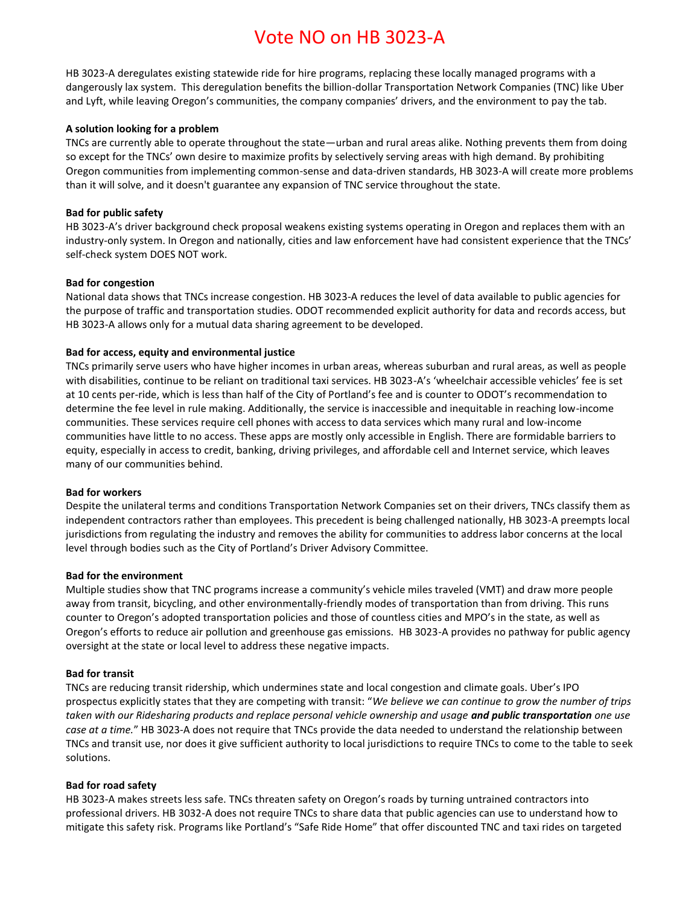# Vote NO on HB 3023-A

HB 3023-A deregulates existing statewide ride for hire programs, replacing these locally managed programs with a dangerously lax system. This deregulation benefits the billion-dollar Transportation Network Companies (TNC) like Uber and Lyft, while leaving Oregon's communities, the company companies' drivers, and the environment to pay the tab.

#### **A solution looking for a problem**

TNCs are currently able to operate throughout the state—urban and rural areas alike. Nothing prevents them from doing so except for the TNCs' own desire to maximize profits by selectively serving areas with high demand. By prohibiting Oregon communities from implementing common-sense and data-driven standards, HB 3023-A will create more problems than it will solve, and it doesn't guarantee any expansion of TNC service throughout the state.

#### **Bad for public safety**

HB 3023-A's driver background check proposal weakens existing systems operating in Oregon and replaces them with an industry-only system. In Oregon and nationally, cities and law enforcement have had consistent experience that the TNCs' self-check system DOES NOT work.

#### **Bad for congestion**

National data shows that TNCs increase congestion. HB 3023-A reduces the level of data available to public agencies for the purpose of traffic and transportation studies. ODOT recommended explicit authority for data and records access, but HB 3023-A allows only for a mutual data sharing agreement to be developed.

#### **Bad for access, equity and environmental justice**

TNCs primarily serve users who have higher incomes in urban areas, whereas suburban and rural areas, as well as people with disabilities, continue to be reliant on traditional taxi services. HB 3023-A's 'wheelchair accessible vehicles' fee is set at 10 cents per-ride, which is less than half of the City of Portland's fee and is counter to ODOT's recommendation to determine the fee level in rule making. Additionally, the service is inaccessible and inequitable in reaching low-income communities. These services require cell phones with access to data services which many rural and low-income communities have little to no access. These apps are mostly only accessible in English. There are formidable barriers to equity, especially in access to credit, banking, driving privileges, and affordable cell and Internet service, which leaves many of our communities behind.

#### **Bad for workers**

Despite the unilateral terms and conditions Transportation Network Companies set on their drivers, TNCs classify them as independent contractors rather than employees. This precedent is being challenged nationally, HB 3023-A preempts local jurisdictions from regulating the industry and removes the ability for communities to address labor concerns at the local level through bodies such as the City of Portland's Driver Advisory Committee.

#### **Bad for the environment**

Multiple studies show that TNC programs increase a community's vehicle miles traveled (VMT) and draw more people away from transit, bicycling, and other environmentally-friendly modes of transportation than from driving. This runs counter to Oregon's adopted transportation policies and those of countless cities and MPO's in the state, as well as Oregon's efforts to reduce air pollution and greenhouse gas emissions. HB 3023-A provides no pathway for public agency oversight at the state or local level to address these negative impacts.

#### **Bad for transit**

TNCs are reducing transit ridership, which undermines state and local congestion and climate goals. Uber's IPO prospectus explicitly states that they are competing with transit: "*We believe we can continue to grow the number of trips taken with our Ridesharing products and replace personal vehicle ownership and usage and public transportation one use case at a time.*" HB 3023-A does not require that TNCs provide the data needed to understand the relationship between TNCs and transit use, nor does it give sufficient authority to local jurisdictions to require TNCs to come to the table to seek solutions.

#### **Bad for road safety**

HB 3023-A makes streets less safe. TNCs threaten safety on Oregon's roads by turning untrained contractors into professional drivers. HB 3032-A does not require TNCs to share data that public agencies can use to understand how to mitigate this safety risk. Programs like Portland's "Safe Ride Home" that offer discounted TNC and taxi rides on targeted